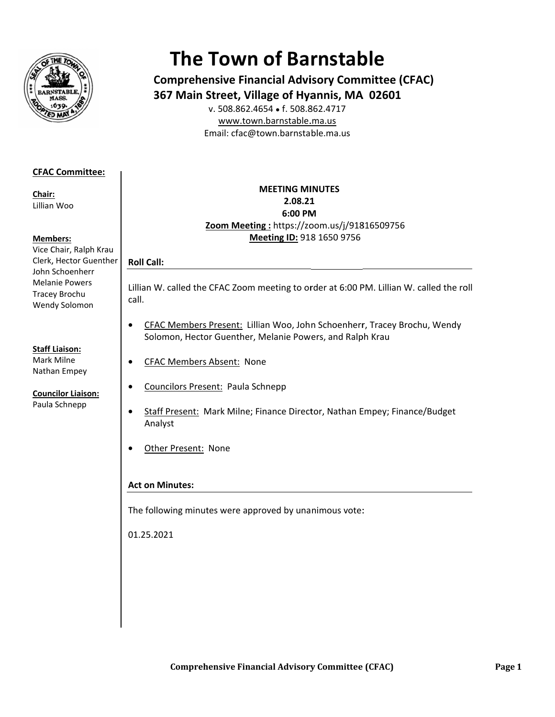

# **The Town of Barnstable**

**Comprehensive Financial Advisory Committee (CFAC)** 367 Main Street, Village of Hyannis, MA 02601

v. 508.862.4654 • f. 508.862.4717 www.town.barnstable.ma.us Email: cfac@town.barnstable.ma.us

# **CFAC Committee:**

Chair: Lillian Woo

## **Members:**

Vice Chair, Ralph Krau Clerk, Hector Guenther John Schoenherr **Melanie Powers** Tracey Brochu Wendy Solomon

## **Staff Liaison:**

Mark Milne Nathan Empey

#### **Councilor Liaison:** Paula Schnepp

# **MEETING MINUTES** 2.08.21 6:00 PM Zoom Meeting: https://zoom.us/j/91816509756 Meeting ID: 918 1650 9756

Lillian W. called the CFAC Zoom meeting to order at 6:00 PM. Lillian W. called the roll call.

- CFAC Members Present: Lillian Woo, John Schoenherr, Tracey Brochu, Wendy  $\bullet$ Solomon, Hector Guenther, Melanie Powers, and Ralph Krau
- **CFAC Members Absent: None**  $\bullet$ 
	- Councilors Present: Paula Schnepp
- Staff Present: Mark Milne; Finance Director, Nathan Empey; Finance/Budget  $\bullet$ Analyst
- Other Present: None  $\bullet$

# **Act on Minutes:**

**Roll Call:** 

 $\bullet$ 

The following minutes were approved by unanimous vote:

01.25.2021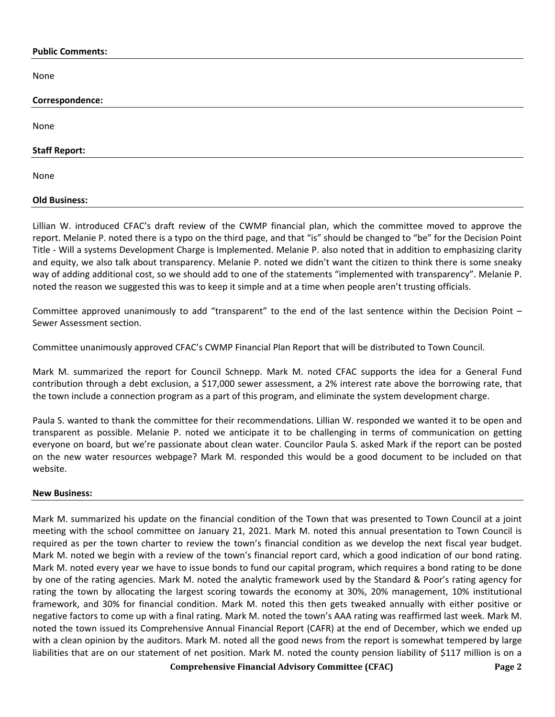#### **Public Comments:**

None

| Correspondence:      |  |  |
|----------------------|--|--|
|                      |  |  |
| None                 |  |  |
| <b>Staff Report:</b> |  |  |
| None                 |  |  |
| <b>Old Business:</b> |  |  |

Lillian W. introduced CFAC's draft review of the CWMP financial plan, which the committee moved to approve the report. Melanie P. noted there is a typo on the third page, and that "is" should be changed to "be" for the Decision Point Title - Will a systems Development Charge is Implemented. Melanie P. also noted that in addition to emphasizing clarity and equity, we also talk about transparency. Melanie P. noted we didn't want the citizen to think there is some sneaky way of adding additional cost, so we should add to one of the statements "implemented with transparency". Melanie P. noted the reason we suggested this was to keep it simple and at a time when people aren't trusting officials.

Committee approved unanimously to add "transparent" to the end of the last sentence within the Decision Point – Sewer Assessment section.

Committee unanimously approved CFAC's CWMP Financial Plan Report that will be distributed to Town Council.

Mark M. summarized the report for Council Schnepp. Mark M. noted CFAC supports the idea for a General Fund contribution through a debt exclusion, a \$17,000 sewer assessment, a 2% interest rate above the borrowing rate, that the town include a connection program as a part of this program, and eliminate the system development charge.

Paula S. wanted to thank the committee for their recommendations. Lillian W. responded we wanted it to be open and transparent as possible. Melanie P. noted we anticipate it to be challenging in terms of communication on getting everyone on board, but we're passionate about clean water. Councilor Paula S. asked Mark if the report can be posted on the new water resources webpage? Mark M. responded this would be a good document to be included on that website.

## **New Business:**

Mark M. summarized his update on the financial condition of the Town that was presented to Town Council at a joint meeting with the school committee on January 21, 2021. Mark M. noted this annual presentation to Town Council is required as per the town charter to review the town's financial condition as we develop the next fiscal year budget. Mark M. noted we begin with a review of the town's financial report card, which a good indication of our bond rating. Mark M. noted every year we have to issue bonds to fund our capital program, which requires a bond rating to be done by one of the rating agencies. Mark M. noted the analytic framework used by the Standard & Poor's rating agency for rating the town by allocating the largest scoring towards the economy at 30%, 20% management, 10% institutional framework, and 30% for financial condition. Mark M. noted this then gets tweaked annually with either positive or negative factors to come up with a final rating. Mark M. noted the town's AAA rating was reaffirmed last week. Mark M. noted the town issued its Comprehensive Annual Financial Report (CAFR) at the end of December, which we ended up with a clean opinion by the auditors. Mark M. noted all the good news from the report is somewhat tempered by large liabilities that are on our statement of net position. Mark M. noted the county pension liability of \$117 million is on a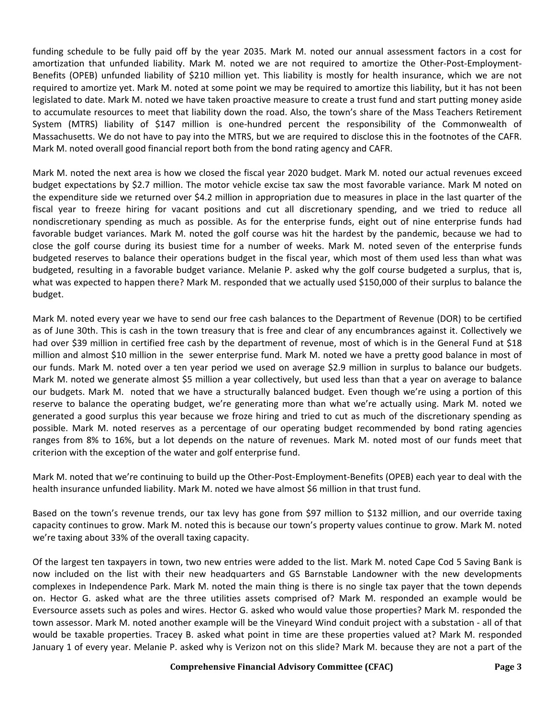funding schedule to be fully paid off by the year 2035. Mark M. noted our annual assessment factors in a cost for amortization that unfunded liability. Mark M. noted we are not required to amortize the Other-Post-Employment-Benefits (OPEB) unfunded liability of \$210 million yet. This liability is mostly for health insurance, which we are not required to amortize yet. Mark M. noted at some point we may be required to amortize this liability, but it has not been legislated to date. Mark M. noted we have taken proactive measure to create a trust fund and start putting money aside to accumulate resources to meet that liability down the road. Also, the town's share of the Mass Teachers Retirement System (MTRS) liability of \$147 million is one-hundred percent the responsibility of the Commonwealth of Massachusetts. We do not have to pay into the MTRS, but we are required to disclose this in the footnotes of the CAFR. Mark M. noted overall good financial report both from the bond rating agency and CAFR.

Mark M. noted the next area is how we closed the fiscal year 2020 budget. Mark M. noted our actual revenues exceed budget expectations by \$2.7 million. The motor vehicle excise tax saw the most favorable variance. Mark M noted on the expenditure side we returned over \$4.2 million in appropriation due to measures in place in the last quarter of the fiscal year to freeze hiring for vacant positions and cut all discretionary spending, and we tried to reduce all nondiscretionary spending as much as possible. As for the enterprise funds, eight out of nine enterprise funds had favorable budget variances. Mark M. noted the golf course was hit the hardest by the pandemic, because we had to close the golf course during its busiest time for a number of weeks. Mark M. noted seven of the enterprise funds budgeted reserves to balance their operations budget in the fiscal year, which most of them used less than what was budgeted, resulting in a favorable budget variance. Melanie P. asked why the golf course budgeted a surplus, that is, what was expected to happen there? Mark M. responded that we actually used \$150,000 of their surplus to balance the budget.

Mark M. noted every year we have to send our free cash balances to the Department of Revenue (DOR) to be certified as of June 30th. This is cash in the town treasury that is free and clear of any encumbrances against it. Collectively we had over \$39 million in certified free cash by the department of revenue, most of which is in the General Fund at \$18 million and almost \$10 million in the sewer enterprise fund. Mark M. noted we have a pretty good balance in most of our funds. Mark M. noted over a ten year period we used on average \$2.9 million in surplus to balance our budgets. Mark M. noted we generate almost \$5 million a year collectively, but used less than that a year on average to balance our budgets. Mark M. noted that we have a structurally balanced budget. Even though we're using a portion of this reserve to balance the operating budget, we're generating more than what we're actually using. Mark M. noted we generated a good surplus this year because we froze hiring and tried to cut as much of the discretionary spending as possible. Mark M. noted reserves as a percentage of our operating budget recommended by bond rating agencies ranges from 8% to 16%, but a lot depends on the nature of revenues. Mark M. noted most of our funds meet that criterion with the exception of the water and golf enterprise fund.

Mark M. noted that we're continuing to build up the Other-Post-Employment-Benefits (OPEB) each year to deal with the health insurance unfunded liability. Mark M. noted we have almost \$6 million in that trust fund.

Based on the town's revenue trends, our tax levy has gone from \$97 million to \$132 million, and our override taxing capacity continues to grow. Mark M. noted this is because our town's property values continue to grow. Mark M. noted we're taxing about 33% of the overall taxing capacity.

Of the largest ten taxpayers in town, two new entries were added to the list. Mark M. noted Cape Cod 5 Saving Bank is now included on the list with their new headquarters and GS Barnstable Landowner with the new developments complexes in Independence Park. Mark M. noted the main thing is there is no single tax payer that the town depends on. Hector G. asked what are the three utilities assets comprised of? Mark M. responded an example would be Eversource assets such as poles and wires. Hector G. asked who would value those properties? Mark M. responded the town assessor. Mark M. noted another example will be the Vineyard Wind conduit project with a substation - all of that would be taxable properties. Tracey B. asked what point in time are these properties valued at? Mark M. responded January 1 of every year. Melanie P. asked why is Verizon not on this slide? Mark M. because they are not a part of the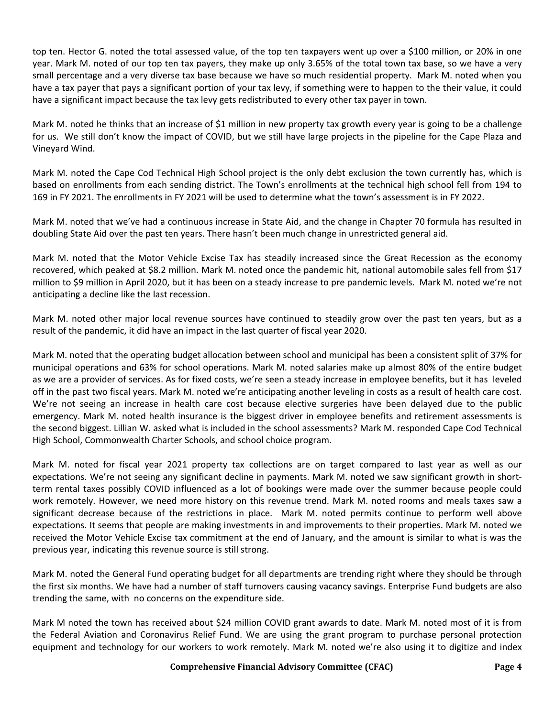top ten. Hector G. noted the total assessed value, of the top ten taxpayers went up over a \$100 million, or 20% in one year. Mark M. noted of our top ten tax payers, they make up only 3.65% of the total town tax base, so we have a very small percentage and a very diverse tax base because we have so much residential property. Mark M. noted when you have a tax payer that pays a significant portion of your tax levy, if something were to happen to the their value, it could have a significant impact because the tax levy gets redistributed to every other tax payer in town.

Mark M. noted he thinks that an increase of \$1 million in new property tax growth every year is going to be a challenge for us. We still don't know the impact of COVID, but we still have large projects in the pipeline for the Cape Plaza and Vineyard Wind.

Mark M. noted the Cape Cod Technical High School project is the only debt exclusion the town currently has, which is based on enrollments from each sending district. The Town's enrollments at the technical high school fell from 194 to 169 in FY 2021. The enrollments in FY 2021 will be used to determine what the town's assessment is in FY 2022.

Mark M. noted that we've had a continuous increase in State Aid, and the change in Chapter 70 formula has resulted in doubling State Aid over the past ten years. There hasn't been much change in unrestricted general aid.

Mark M. noted that the Motor Vehicle Excise Tax has steadily increased since the Great Recession as the economy recovered, which peaked at \$8.2 million. Mark M. noted once the pandemic hit, national automobile sales fell from \$17 million to \$9 million in April 2020, but it has been on a steady increase to pre pandemic levels. Mark M. noted we're not anticipating a decline like the last recession.

Mark M. noted other major local revenue sources have continued to steadily grow over the past ten years, but as a result of the pandemic, it did have an impact in the last quarter of fiscal year 2020.

Mark M. noted that the operating budget allocation between school and municipal has been a consistent split of 37% for municipal operations and 63% for school operations. Mark M. noted salaries make up almost 80% of the entire budget as we are a provider of services. As for fixed costs, we're seen a steady increase in employee benefits, but it has leveled off in the past two fiscal years. Mark M. noted we're anticipating another leveling in costs as a result of health care cost. We're not seeing an increase in health care cost because elective surgeries have been delayed due to the public emergency. Mark M. noted health insurance is the biggest driver in employee benefits and retirement assessments is the second biggest. Lillian W. asked what is included in the school assessments? Mark M. responded Cape Cod Technical High School, Commonwealth Charter Schools, and school choice program.

Mark M. noted for fiscal year 2021 property tax collections are on target compared to last year as well as our expectations. We're not seeing any significant decline in payments. Mark M. noted we saw significant growth in shortterm rental taxes possibly COVID influenced as a lot of bookings were made over the summer because people could work remotely. However, we need more history on this revenue trend. Mark M. noted rooms and meals taxes saw a significant decrease because of the restrictions in place. Mark M. noted permits continue to perform well above expectations. It seems that people are making investments in and improvements to their properties. Mark M. noted we received the Motor Vehicle Excise tax commitment at the end of January, and the amount is similar to what is was the previous year, indicating this revenue source is still strong.

Mark M. noted the General Fund operating budget for all departments are trending right where they should be through the first six months. We have had a number of staff turnovers causing vacancy savings. Enterprise Fund budgets are also trending the same, with no concerns on the expenditure side.

Mark M noted the town has received about \$24 million COVID grant awards to date. Mark M. noted most of it is from the Federal Aviation and Coronavirus Relief Fund. We are using the grant program to purchase personal protection equipment and technology for our workers to work remotely. Mark M. noted we're also using it to digitize and index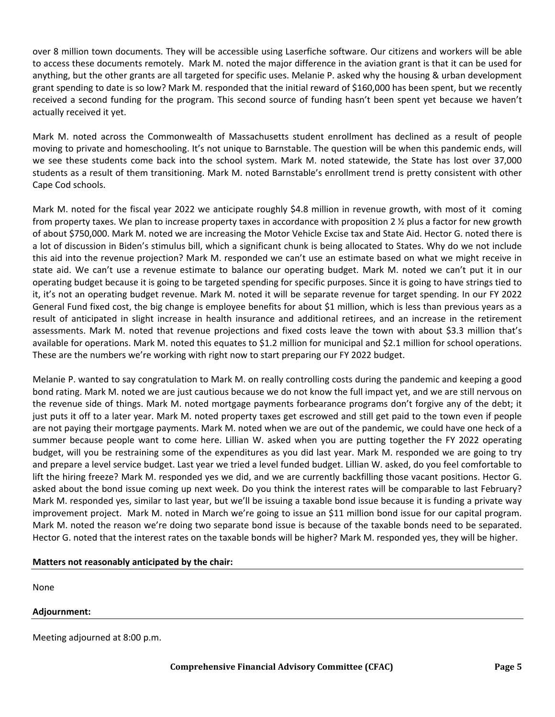over 8 million town documents. They will be accessible using Laserfiche software. Our citizens and workers will be able to access these documents remotely. Mark M. noted the major difference in the aviation grant is that it can be used for anything, but the other grants are all targeted for specific uses. Melanie P. asked why the housing & urban development grant spending to date is so low? Mark M. responded that the initial reward of \$160,000 has been spent, but we recently received a second funding for the program. This second source of funding hasn't been spent yet because we haven't actually received it yet.

Mark M. noted across the Commonwealth of Massachusetts student enrollment has declined as a result of people moving to private and homeschooling. It's not unique to Barnstable. The question will be when this pandemic ends, will we see these students come back into the school system. Mark M. noted statewide, the State has lost over 37,000 students as a result of them transitioning. Mark M. noted Barnstable's enrollment trend is pretty consistent with other Cape Cod schools.

Mark M. noted for the fiscal year 2022 we anticipate roughly \$4.8 million in revenue growth, with most of it coming from property taxes. We plan to increase property taxes in accordance with proposition 2 % plus a factor for new growth of about \$750,000. Mark M. noted we are increasing the Motor Vehicle Excise tax and State Aid. Hector G. noted there is a lot of discussion in Biden's stimulus bill, which a significant chunk is being allocated to States. Why do we not include this aid into the revenue projection? Mark M. responded we can't use an estimate based on what we might receive in state aid. We can't use a revenue estimate to balance our operating budget. Mark M. noted we can't put it in our operating budget because it is going to be targeted spending for specific purposes. Since it is going to have strings tied to it, it's not an operating budget revenue. Mark M. noted it will be separate revenue for target spending. In our FY 2022 General Fund fixed cost, the big change is employee benefits for about \$1 million, which is less than previous years as a result of anticipated in slight increase in health insurance and additional retirees, and an increase in the retirement assessments. Mark M. noted that revenue projections and fixed costs leave the town with about \$3.3 million that's available for operations. Mark M. noted this equates to \$1.2 million for municipal and \$2.1 million for school operations. These are the numbers we're working with right now to start preparing our FY 2022 budget.

Melanie P. wanted to say congratulation to Mark M. on really controlling costs during the pandemic and keeping a good bond rating. Mark M. noted we are just cautious because we do not know the full impact yet, and we are still nervous on the revenue side of things. Mark M. noted mortgage payments forbearance programs don't forgive any of the debt; it just puts it off to a later year. Mark M. noted property taxes get escrowed and still get paid to the town even if people are not paying their mortgage payments. Mark M. noted when we are out of the pandemic, we could have one heck of a summer because people want to come here. Lillian W. asked when you are putting together the FY 2022 operating budget, will you be restraining some of the expenditures as you did last year. Mark M. responded we are going to try and prepare a level service budget. Last year we tried a level funded budget. Lillian W. asked, do you feel comfortable to lift the hiring freeze? Mark M. responded yes we did, and we are currently backfilling those vacant positions. Hector G. asked about the bond issue coming up next week. Do you think the interest rates will be comparable to last February? Mark M. responded yes, similar to last year, but we'll be issuing a taxable bond issue because it is funding a private way improvement project. Mark M. noted in March we're going to issue an \$11 million bond issue for our capital program. Mark M. noted the reason we're doing two separate bond issue is because of the taxable bonds need to be separated. Hector G. noted that the interest rates on the taxable bonds will be higher? Mark M. responded yes, they will be higher.

## **Matters not reasonably anticipated by the chair:**

None

**Adjournment:** 

Meeting adjourned at 8:00 p.m.